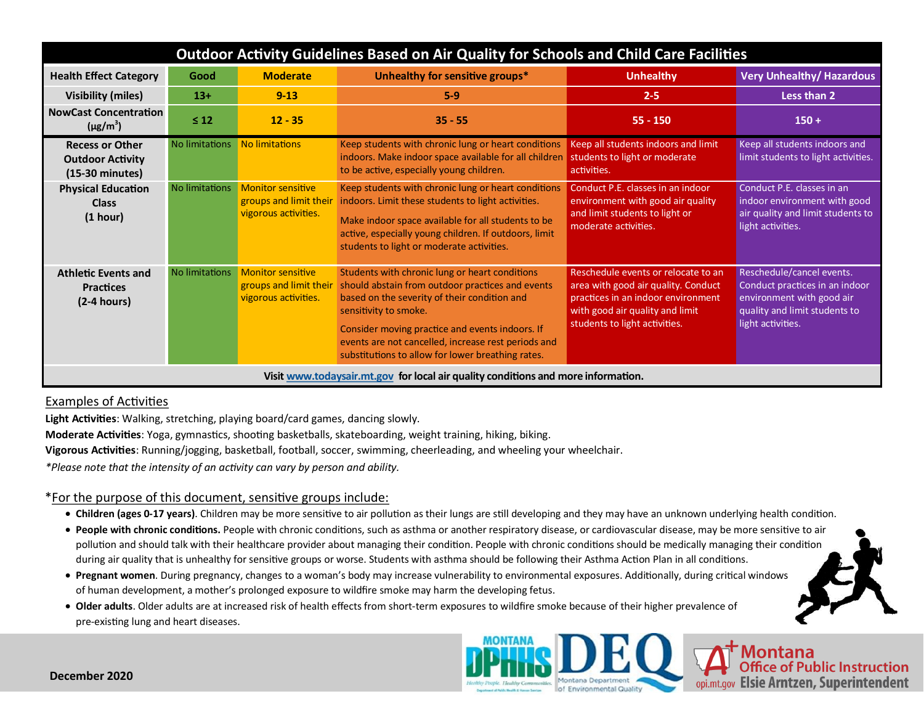| Outdoor Activity Guidelines Based on Air Quality for Schools and Child Care Facilities |                |                                                                            |                                                                                                                                                                                                                                                                                                                                            |                                                                                                                                                                                      |                                                                                                                                                |
|----------------------------------------------------------------------------------------|----------------|----------------------------------------------------------------------------|--------------------------------------------------------------------------------------------------------------------------------------------------------------------------------------------------------------------------------------------------------------------------------------------------------------------------------------------|--------------------------------------------------------------------------------------------------------------------------------------------------------------------------------------|------------------------------------------------------------------------------------------------------------------------------------------------|
| <b>Health Effect Category</b>                                                          | Good           | <b>Moderate</b>                                                            | Unhealthy for sensitive groups*                                                                                                                                                                                                                                                                                                            | <b>Unhealthy</b>                                                                                                                                                                     | <b>Very Unhealthy/ Hazardous</b>                                                                                                               |
| <b>Visibility (miles)</b>                                                              | $13+$          | $9 - 13$                                                                   | $5-9$                                                                                                                                                                                                                                                                                                                                      | $2 - 5$                                                                                                                                                                              | Less than 2                                                                                                                                    |
| <b>NowCast Concentration</b><br>$(\mu g/m^3)$                                          | $\leq 12$      | $12 - 35$                                                                  | $35 - 55$                                                                                                                                                                                                                                                                                                                                  | $55 - 150$                                                                                                                                                                           | $150 +$                                                                                                                                        |
| <b>Recess or Other</b><br><b>Outdoor Activity</b><br>(15-30 minutes)                   | No limitations | <b>No limitations</b>                                                      | Keep students with chronic lung or heart conditions<br>indoors. Make indoor space available for all children<br>to be active, especially young children.                                                                                                                                                                                   | Keep all students indoors and limit<br>students to light or moderate<br>activities.                                                                                                  | Keep all students indoors and<br>limit students to light activities.                                                                           |
| <b>Physical Education</b><br><b>Class</b><br>(1 hour)                                  | No limitations | <b>Monitor sensitive</b><br>groups and limit their<br>vigorous activities. | Keep students with chronic lung or heart conditions<br>indoors. Limit these students to light activities.<br>Make indoor space available for all students to be<br>active, especially young children. If outdoors, limit<br>students to light or moderate activities.                                                                      | Conduct P.E. classes in an indoor<br>environment with good air quality<br>and limit students to light or<br>moderate activities.                                                     | Conduct P.E. classes in an<br>indoor environment with good<br>air quality and limit students to<br>light activities.                           |
| <b>Athletic Events and</b><br><b>Practices</b><br>$(2-4 hours)$                        | No limitations | <b>Monitor sensitive</b><br>groups and limit their<br>vigorous activities. | Students with chronic lung or heart conditions<br>should abstain from outdoor practices and events<br>based on the severity of their condition and<br>sensitivity to smoke.<br>Consider moving practice and events indoors. If<br>events are not cancelled, increase rest periods and<br>substitutions to allow for lower breathing rates. | Reschedule events or relocate to an<br>area with good air quality. Conduct<br>practices in an indoor environment<br>with good air quality and limit<br>students to light activities. | Reschedule/cancel events.<br>Conduct practices in an indoor<br>environment with good air<br>quality and limit students to<br>light activities. |
| Visit www.todaysair.mt.gov for local air quality conditions and more information.      |                |                                                                            |                                                                                                                                                                                                                                                                                                                                            |                                                                                                                                                                                      |                                                                                                                                                |

### Examples of Activities

**Light Activities**: Walking, stretching, playing board/card games, dancing slowly.

**Moderate Activities**: Yoga, gymnastics, shooting basketballs, skateboarding, weight training, hiking, biking.

**Vigorous Activities**: Running/jogging, basketball, football, soccer, swimming, cheerleading, and wheeling your wheelchair.

*\*Please note that the intensity of an activity can vary by person and ability.* 

#### \*For the purpose of this document, sensitive groups include:

- **Children (ages 0-17 years)**. Children may be more sensitive to air pollution as their lungs are still developing and they may have an unknown underlying health condition.
- **People with chronic conditions.** People with chronic conditions, such as asthma or another respiratory disease, or cardiovascular disease, may be more sensitive to air pollution and should talk with their healthcare provider about managing their condition. People with chronic conditions should be medically managing their condition during air quality that is unhealthy for sensitive groups or worse. Students with asthma should be following their Asthma Action Plan in all conditions.
- **Pregnant women**. During pregnancy, changes to a woman's body may increase vulnerability to environmental exposures. Additionally, during critical windows of human development, a mother's prolonged exposure to wildfire smoke may harm the developing fetus.
- **Older adults**. Older adults are at increased risk of health effects from short-term exposures to wildfire smoke because of their higher prevalence of pre-existing lung and heart diseases.



Montana<br>Office of Public Instruction opi.mt.gov Elsie Arntzen, Superintendent